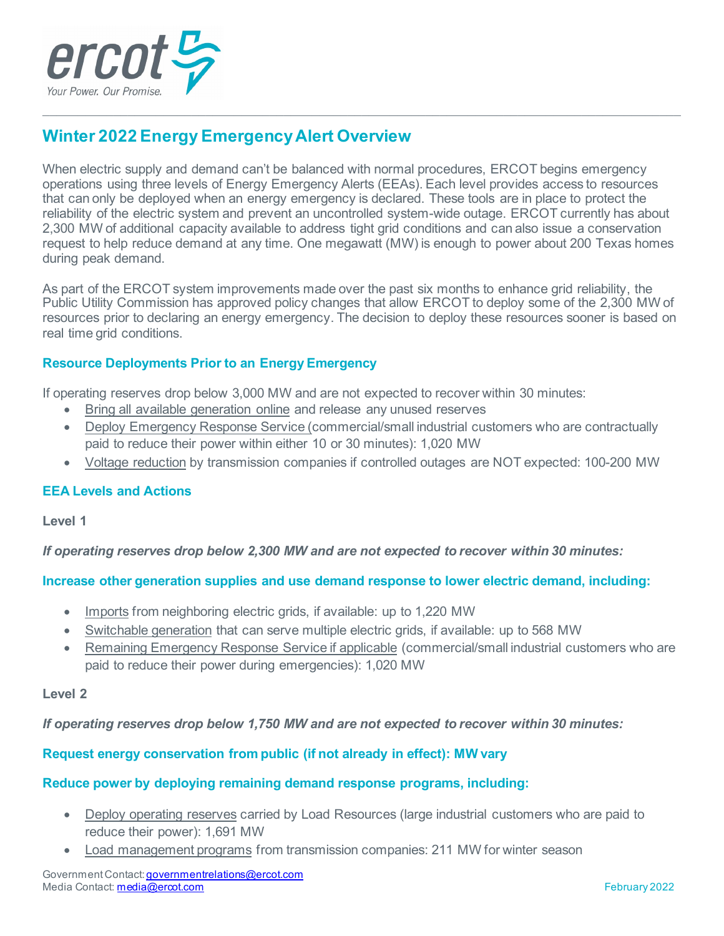

# **Winter 2022 Energy Emergency Alert Overview**

When electric supply and demand can't be balanced with normal procedures, ERCOT begins emergency operations using three levels of Energy Emergency Alerts (EEAs). Each level provides access to resources that can only be deployed when an energy emergency is declared. These tools are in place to protect the reliability of the electric system and prevent an uncontrolled system-wide outage. ERCOT currently has about 2,300 MW of additional capacity available to address tight grid conditions and can also issue a conservation request to help reduce demand at any time. One megawatt (MW) is enough to power about 200 Texas homes during peak demand.

 $\mathcal{L}_\mathcal{L} = \mathcal{L}_\mathcal{L} = \mathcal{L}_\mathcal{L} = \mathcal{L}_\mathcal{L} = \mathcal{L}_\mathcal{L} = \mathcal{L}_\mathcal{L} = \mathcal{L}_\mathcal{L} = \mathcal{L}_\mathcal{L} = \mathcal{L}_\mathcal{L} = \mathcal{L}_\mathcal{L} = \mathcal{L}_\mathcal{L} = \mathcal{L}_\mathcal{L} = \mathcal{L}_\mathcal{L} = \mathcal{L}_\mathcal{L} = \mathcal{L}_\mathcal{L} = \mathcal{L}_\mathcal{L} = \mathcal{L}_\mathcal{L}$ 

As part of the ERCOT system improvements made over the past six months to enhance grid reliability, the Public Utility Commission has approved policy changes that allow ERCOT to deploy some of the 2,300 MW of resources prior to declaring an energy emergency. The decision to deploy these resources sooner is based on real time grid conditions.

## **Resource Deployments Prior to an Energy Emergency**

If operating reserves drop below 3,000 MW and are not expected to recover within 30 minutes:

- Bring all available generation online and release any unused reserves
- Deploy Emergency Response Service (commercial/small industrial customers who are contractually paid to reduce their power within either 10 or 30 minutes): 1,020 MW
- Voltage reduction by transmission companies if controlled outages are NOT expected: 100-200 MW

### **EEA Levels and Actions**

**Level 1**

*If operating reserves drop below 2,300 MW and are not expected to recover within 30 minutes:*

### **Increase other generation supplies and use demand response to lower electric demand, including:**

- Imports from neighboring electric grids, if available: up to 1,220 MW
- Switchable generation that can serve multiple electric grids, if available: up to 568 MW
- Remaining Emergency Response Service if applicable (commercial/small industrial customers who are paid to reduce their power during emergencies): 1,020 MW

### **Level 2**

*If operating reserves drop below 1,750 MW and are not expected to recover within 30 minutes:*

# **Request energy conservation from public (if not already in effect): MW vary**

### **Reduce power by deploying remaining demand response programs, including:**

- Deploy operating reserves carried by Load Resources (large industrial customers who are paid to reduce their power): 1,691 MW
- Load management programs from transmission companies: 211 MW for winter season